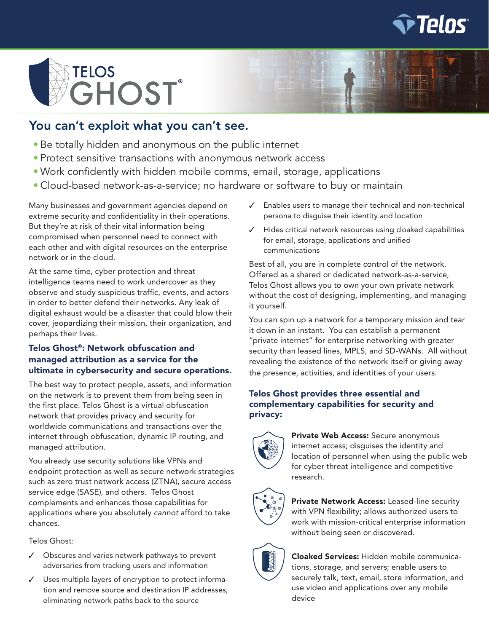



# You can't exploit what you can't see.

- Be totally hidden and anonymous on the public internet
- Protect sensitive transactions with anonymous network access
- Work confidently with hidden mobile comms, email, storage, applications
- Cloud-based network-as-a-service; no hardware or software to buy or maintain

Many businesses and government agencies depend on extreme security and confidentiality in their operations. But they're at risk of their vital information being compromised when personnel need to connect with each other and with digital resources on the enterprise network or in the cloud.

At the same time, cyber protection and threat intelligence teams need to work undercover as they observe and study suspicious traffic, events, and actors in order to better defend their networks. Any leak of digital exhaust would be a disaster that could blow their cover, jeopardizing their mission, their organization, and perhaps their lives.

### Telos Ghost®: Network obfuscation and managed attribution as a service for the ultimate in cybersecurity and secure operations.

The best way to protect people, assets, and information on the network is to prevent them from being seen in the first place. Telos Ghost is a virtual obfuscation network that provides privacy and security for worldwide communications and transactions over the internet through obfuscation, dynamic IP routing, and managed attribution.

You already use security solutions like VPNs and endpoint protection as well as secure network strategies such as zero trust network access (ZTNA), secure access service edge (SASE), and others. Telos Ghost complements and enhances those capabilities for applications where you absolutely *cannot* afford to take chances.

Telos Ghost:

- ✓ Obscures and varies network pathways to prevent adversaries from tracking users and information
- ✓ Uses multiple layers of encryption to protect information and remove source and destination IP addresses, eliminating network paths back to the source
- ✓ Enables users to manage their technical and non-technical persona to disguise their identity and location
- ✓ Hides critical network resources using cloaked capabilities for email, storage, applications and unified communications

Best of all, you are in complete control of the network. Offered as a shared or dedicated network-as-a-service, Telos Ghost allows you to own your own private network without the cost of designing, implementing, and managing it yourself.

You can spin up a network for a temporary mission and tear it down in an instant. You can establish a permanent "private internet" for enterprise networking with greater security than leased lines, MPLS, and SD-WANs. All without revealing the existence of the network itself or giving away the presence, activities, and identities of your users.

#### Telos Ghost provides three essential and complementary capabilities for security and privacy:



Private Web Access: Secure anonymous internet access; disguises the identity and location of personnel when using the public web for cyber threat intelligence and competitive research.



Private Network Access: Leased-line security with VPN flexibility; allows authorized users to work with mission-critical enterprise information without being seen or discovered.



Cloaked Services: Hidden mobile communications, storage, and servers; enable users to securely talk, text, email, store information, and use video and applications over any mobile device